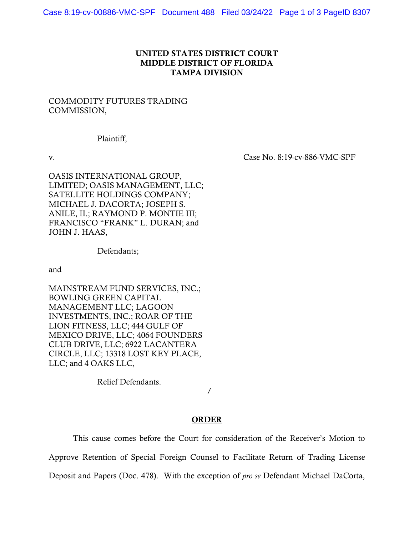## UNITED STATES DISTRICT COURT MIDDLE DISTRICT OF FLORIDA TAMPA DIVISION

## COMMODITY FUTURES TRADING COMMISSION,

Plaintiff,

v. Case No. 8:19-cv-886-VMC-SPF

OASIS INTERNATIONAL GROUP, LIMITED; OASIS MANAGEMENT, LLC; SATELLITE HOLDINGS COMPANY; MICHAEL J. DACORTA; JOSEPH S. ANILE, II.; RAYMOND P. MONTIE III; FRANCISCO "FRANK" L. DURAN; and JOHN J. HAAS,

Defendants;

and

MAINSTREAM FUND SERVICES, INC.; BOWLING GREEN CAPITAL MANAGEMENT LLC; LAGOON INVESTMENTS, INC.; ROAR OF THE LION FITNESS, LLC; 444 GULF OF MEXICO DRIVE, LLC; 4064 FOUNDERS CLUB DRIVE, LLC; 6922 LACANTERA CIRCLE, LLC; 13318 LOST KEY PLACE, LLC; and 4 OAKS LLC,

Relief Defendants.

 $\overline{\phantom{a}}$ 

## **ORDER**

This cause comes before the Court for consideration of the Receiver's Motion to Approve Retention of Special Foreign Counsel to Facilitate Return of Trading License Deposit and Papers (Doc. 478). With the exception of *pro se* Defendant Michael DaCorta,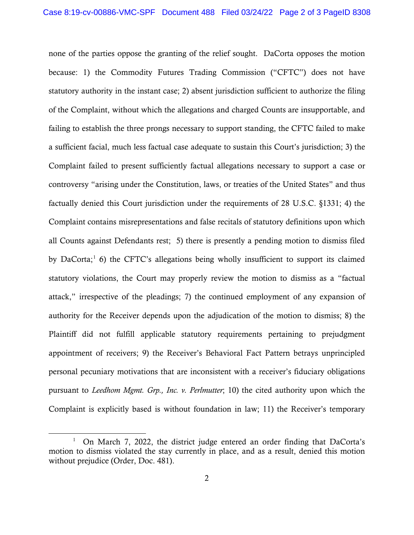none of the parties oppose the granting of the relief sought. DaCorta opposes the motion because: 1) the Commodity Futures Trading Commission ("CFTC") does not have statutory authority in the instant case; 2) absent jurisdiction sufficient to authorize the filing of the Complaint, without which the allegations and charged Counts are insupportable, and failing to establish the three prongs necessary to support standing, the CFTC failed to make a sufficient facial, much less factual case adequate to sustain this Court's jurisdiction; 3) the Complaint failed to present sufficiently factual allegations necessary to support a case or controversy "arising under the Constitution, laws, or treaties of the United States" and thus factually denied this Court jurisdiction under the requirements of 28 U.S.C. §1331; 4) the Complaint contains misrepresentations and false recitals of statutory definitions upon which all Counts against Defendants rest; 5) there is presently a pending motion to dismiss filed by DaCorta;<sup>[1](#page-1-0)</sup> 6) the CFTC's allegations being wholly insufficient to support its claimed statutory violations, the Court may properly review the motion to dismiss as a "factual attack," irrespective of the pleadings; 7) the continued employment of any expansion of authority for the Receiver depends upon the adjudication of the motion to dismiss; 8) the Plaintiff did not fulfill applicable statutory requirements pertaining to prejudgment appointment of receivers; 9) the Receiver's Behavioral Fact Pattern betrays unprincipled personal pecuniary motivations that are inconsistent with a receiver's fiduciary obligations pursuant to *Leedhom Mgmt. Grp., Inc. v. Perlmutter*; 10) the cited authority upon which the Complaint is explicitly based is without foundation in law; 11) the Receiver's temporary

<span id="page-1-0"></span><sup>1</sup> On March 7, 2022, the district judge entered an order finding that DaCorta's motion to dismiss violated the stay currently in place, and as a result, denied this motion without prejudice (Order, Doc. 481).